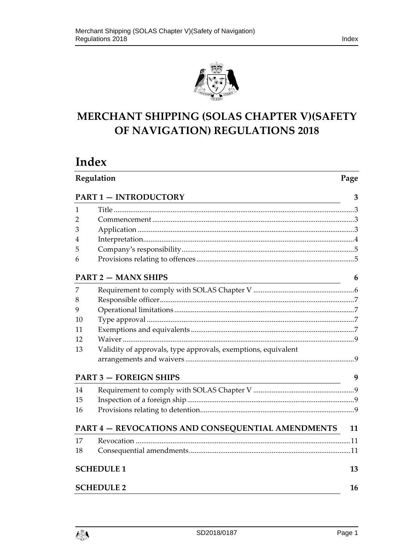

# MERCHANT SHIPPING (SOLAS CHAPTER V)(SAFETY OF NAVIGATION) REGULATIONS 2018

# Index

|    | Regulation<br>Page                                            |    |
|----|---------------------------------------------------------------|----|
|    | <b>PART 1 - INTRODUCTORY</b>                                  | 3  |
| 1  |                                                               |    |
| 2  |                                                               |    |
| 3  |                                                               |    |
| 4  |                                                               |    |
| 5  |                                                               |    |
| 6  |                                                               |    |
|    | <b>PART 2 - MANX SHIPS</b>                                    | 6  |
| 7  |                                                               |    |
| 8  |                                                               |    |
| 9  |                                                               |    |
| 10 |                                                               |    |
| 11 |                                                               |    |
| 12 |                                                               |    |
| 13 | Validity of approvals, type approvals, exemptions, equivalent |    |
|    |                                                               |    |
|    | <b>PART 3 - FOREIGN SHIPS</b>                                 | 9  |
| 14 |                                                               |    |
| 15 |                                                               |    |
| 16 |                                                               |    |
|    | <b>PART 4 - REVOCATIONS AND CONSEQUENTIAL AMENDMENTS</b>      | 11 |
| 17 |                                                               |    |
| 18 |                                                               |    |
|    | <b>SCHEDULE 1</b>                                             | 13 |
|    | <b>SCHEDULE 2</b>                                             | 16 |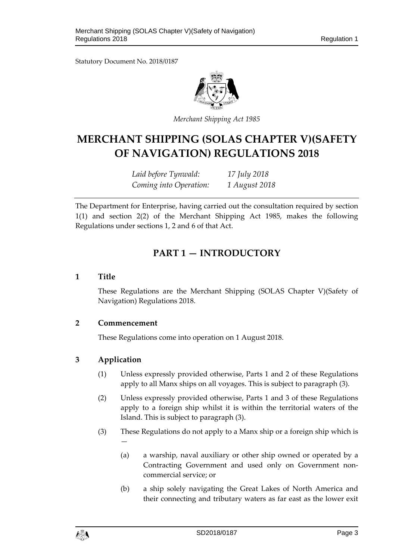Statutory Document No. 2018/0187



*Merchant Shipping Act 1985* 

# **MERCHANT SHIPPING (SOLAS CHAPTER V)(SAFETY OF NAVIGATION) REGULATIONS 2018**

*Laid before Tynwald: 17 July 2018 Coming into Operation: 1 August 2018* 

The Department for Enterprise, having carried out the consultation required by section 1(1) and section 2(2) of the Merchant Shipping Act 1985, makes the following Regulations under sections 1, 2 and 6 of that Act.

## **PART 1 — INTRODUCTORY**

## **1 Title**

These Regulations are the Merchant Shipping (SOLAS Chapter V)(Safety of Navigation) Regulations 2018.

## **2 Commencement**

These Regulations come into operation on 1 August 2018.

## **3 Application**

- (1) Unless expressly provided otherwise, Parts 1 and 2 of these Regulations apply to all Manx ships on all voyages. This is subject to paragraph (3).
- (2) Unless expressly provided otherwise, Parts 1 and 3 of these Regulations apply to a foreign ship whilst it is within the territorial waters of the Island. This is subject to paragraph (3).
- (3) These Regulations do not apply to a Manx ship or a foreign ship which is —
	- (a) a warship, naval auxiliary or other ship owned or operated by a Contracting Government and used only on Government noncommercial service; or
	- (b) a ship solely navigating the Great Lakes of North America and their connecting and tributary waters as far east as the lower exit

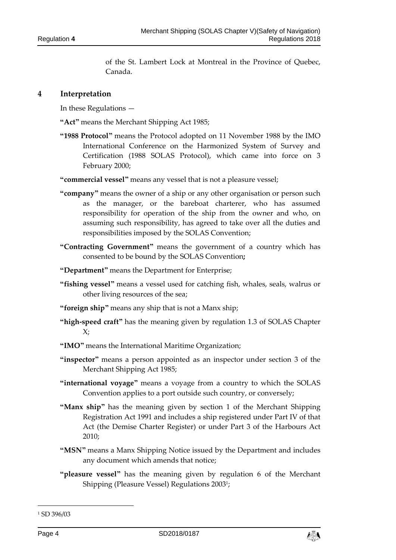of the St. Lambert Lock at Montreal in the Province of Quebec, Canada.

#### **4 Interpretation**

In these Regulations —

**"Act"** means the Merchant Shipping Act 1985;

**"1988 Protocol"** means the Protocol adopted on 11 November 1988 by the IMO International Conference on the Harmonized System of Survey and Certification (1988 SOLAS Protocol), which came into force on 3 February 2000;

**"commercial vessel"** means any vessel that is not a pleasure vessel;

- **"company"** means the owner of a ship or any other organisation or person such as the manager, or the bareboat charterer, who has assumed responsibility for operation of the ship from the owner and who, on assuming such responsibility, has agreed to take over all the duties and responsibilities imposed by the SOLAS Convention;
- **"Contracting Government"** means the government of a country which has consented to be bound by the SOLAS Convention**;**
- **"Department"** means the Department for Enterprise;

**"fishing vessel"** means a vessel used for catching fish, whales, seals, walrus or other living resources of the sea;

**"foreign ship"** means any ship that is not a Manx ship;

- **"high-speed craft"** has the meaning given by regulation 1.3 of SOLAS Chapter  $X$ :
- **"IMO"** means the International Maritime Organization;
- **"inspector"** means a person appointed as an inspector under section 3 of the Merchant Shipping Act 1985;
- **"international voyage"** means a voyage from a country to which the SOLAS Convention applies to a port outside such country, or conversely;
- **"Manx ship"** has the meaning given by section 1 of the Merchant Shipping Registration Act 1991 and includes a ship registered under Part IV of that Act (the Demise Charter Register) or under Part 3 of the Harbours Act 2010;
- **"MSN"** means a Manx Shipping Notice issued by the Department and includes any document which amends that notice;
- **"pleasure vessel"** has the meaning given by regulation 6 of the Merchant Shipping (Pleasure Vessel) Regulations 20031;



<sup>1</sup> SD 396/03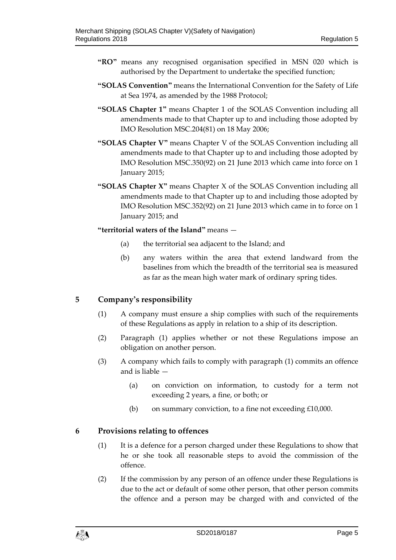- **"RO"** means any recognised organisation specified in MSN 020 which is authorised by the Department to undertake the specified function;
- **"SOLAS Convention"** means the International Convention for the Safety of Life at Sea 1974, as amended by the 1988 Protocol;
- **"SOLAS Chapter 1"** means Chapter 1 of the SOLAS Convention including all amendments made to that Chapter up to and including those adopted by IMO Resolution MSC.204(81) on 18 May 2006;
- **"SOLAS Chapter V"** means Chapter V of the SOLAS Convention including all amendments made to that Chapter up to and including those adopted by IMO Resolution MSC.350(92) on 21 June 2013 which came into force on 1 January 2015;
- **"SOLAS Chapter X"** means Chapter X of the SOLAS Convention including all amendments made to that Chapter up to and including those adopted by IMO Resolution MSC.352(92) on 21 June 2013 which came in to force on 1 January 2015; and

#### **"territorial waters of the Island"** means —

- (a) the territorial sea adjacent to the Island; and
- (b) any waters within the area that extend landward from the baselines from which the breadth of the territorial sea is measured as far as the mean high water mark of ordinary spring tides.

#### **5 Company's responsibility**

- (1) A company must ensure a ship complies with such of the requirements of these Regulations as apply in relation to a ship of its description.
- (2) Paragraph (1) applies whether or not these Regulations impose an obligation on another person.
- (3) A company which fails to comply with paragraph (1) commits an offence and is liable —
	- (a) on conviction on information, to custody for a term not exceeding 2 years, a fine, or both; or
	- (b) on summary conviction, to a fine not exceeding £10,000.

#### **6 Provisions relating to offences**

- (1) It is a defence for a person charged under these Regulations to show that he or she took all reasonable steps to avoid the commission of the offence.
- (2) If the commission by any person of an offence under these Regulations is due to the act or default of some other person, that other person commits the offence and a person may be charged with and convicted of the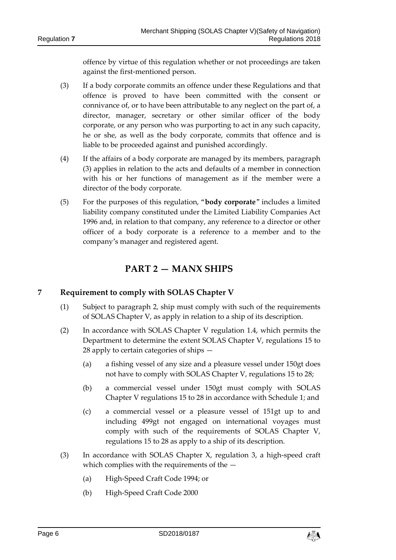offence by virtue of this regulation whether or not proceedings are taken against the first-mentioned person.

- (3) If a body corporate commits an offence under these Regulations and that offence is proved to have been committed with the consent or connivance of, or to have been attributable to any neglect on the part of, a director, manager, secretary or other similar officer of the body corporate, or any person who was purporting to act in any such capacity, he or she, as well as the body corporate, commits that offence and is liable to be proceeded against and punished accordingly.
- (4) If the affairs of a body corporate are managed by its members, paragraph (3) applies in relation to the acts and defaults of a member in connection with his or her functions of management as if the member were a director of the body corporate.
- (5) For the purposes of this regulation, "**body corporate**" includes a limited liability company constituted under the Limited Liability Companies Act 1996 and, in relation to that company, any reference to a director or other officer of a body corporate is a reference to a member and to the company's manager and registered agent.

## **PART 2 — MANX SHIPS**

## **7 Requirement to comply with SOLAS Chapter V**

- (1) Subject to paragraph 2, ship must comply with such of the requirements of SOLAS Chapter V, as apply in relation to a ship of its description.
- (2) In accordance with SOLAS Chapter V regulation 1.4, which permits the Department to determine the extent SOLAS Chapter V, regulations 15 to 28 apply to certain categories of ships —
	- (a) a fishing vessel of any size and a pleasure vessel under 150gt does not have to comply with SOLAS Chapter V, regulations 15 to 28;
	- (b) a commercial vessel under 150gt must comply with SOLAS Chapter V regulations 15 to 28 in accordance with Schedule 1; and
	- (c) a commercial vessel or a pleasure vessel of 151gt up to and including 499gt not engaged on international voyages must comply with such of the requirements of SOLAS Chapter V, regulations 15 to 28 as apply to a ship of its description.
- (3) In accordance with SOLAS Chapter X, regulation 3, a high-speed craft which complies with the requirements of the —
	- (a) High-Speed Craft Code 1994; or
	- (b) High-Speed Craft Code 2000

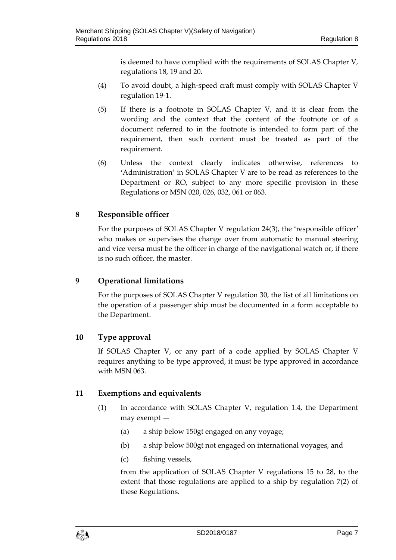is deemed to have complied with the requirements of SOLAS Chapter V, regulations 18, 19 and 20.

- (4) To avoid doubt, a high-speed craft must comply with SOLAS Chapter V regulation 19-1.
- (5) If there is a footnote in SOLAS Chapter V, and it is clear from the wording and the context that the content of the footnote or of a document referred to in the footnote is intended to form part of the requirement, then such content must be treated as part of the requirement.
- (6) Unless the context clearly indicates otherwise, references to 'Administration' in SOLAS Chapter V are to be read as references to the Department or RO, subject to any more specific provision in these Regulations or MSN 020, 026, 032, 061 or 063.

## **8 Responsible officer**

For the purposes of SOLAS Chapter V regulation 24(3), the 'responsible officer' who makes or supervises the change over from automatic to manual steering and vice versa must be the officer in charge of the navigational watch or, if there is no such officer, the master.

### **9 Operational limitations**

For the purposes of SOLAS Chapter V regulation 30, the list of all limitations on the operation of a passenger ship must be documented in a form acceptable to the Department.

## **10 Type approval**

If SOLAS Chapter V, or any part of a code applied by SOLAS Chapter V requires anything to be type approved, it must be type approved in accordance with MSN 063.

## **11 Exemptions and equivalents**

- (1) In accordance with SOLAS Chapter V, regulation 1.4, the Department may exempt —
	- (a) a ship below 150gt engaged on any voyage;
	- (b) a ship below 500gt not engaged on international voyages, and
	- (c) fishing vessels,

from the application of SOLAS Chapter V regulations 15 to 28, to the extent that those regulations are applied to a ship by regulation 7(2) of these Regulations.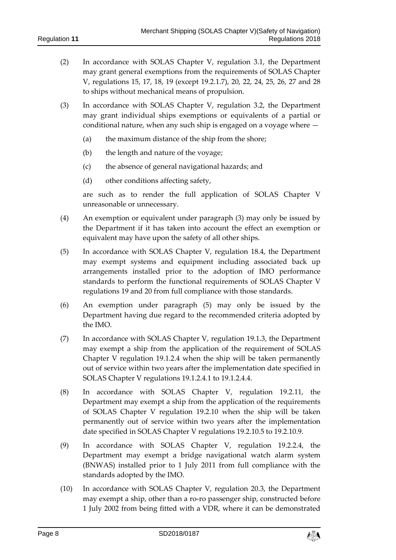- (2) In accordance with SOLAS Chapter V, regulation 3.1, the Department may grant general exemptions from the requirements of SOLAS Chapter V, regulations 15, 17, 18, 19 (except 19.2.1.7), 20, 22, 24, 25, 26, 27 and 28 to ships without mechanical means of propulsion.
- (3) In accordance with SOLAS Chapter V, regulation 3.2, the Department may grant individual ships exemptions or equivalents of a partial or conditional nature, when any such ship is engaged on a voyage where —
	- (a) the maximum distance of the ship from the shore;
	- (b) the length and nature of the voyage;
	- (c) the absence of general navigational hazards; and
	- (d) other conditions affecting safety,

are such as to render the full application of SOLAS Chapter V unreasonable or unnecessary.

- (4) An exemption or equivalent under paragraph (3) may only be issued by the Department if it has taken into account the effect an exemption or equivalent may have upon the safety of all other ships.
- (5) In accordance with SOLAS Chapter V, regulation 18.4, the Department may exempt systems and equipment including associated back up arrangements installed prior to the adoption of IMO performance standards to perform the functional requirements of SOLAS Chapter V regulations 19 and 20 from full compliance with those standards.
- (6) An exemption under paragraph (5) may only be issued by the Department having due regard to the recommended criteria adopted by the IMO.
- (7) In accordance with SOLAS Chapter V, regulation 19.1.3, the Department may exempt a ship from the application of the requirement of SOLAS Chapter V regulation 19.1.2.4 when the ship will be taken permanently out of service within two years after the implementation date specified in SOLAS Chapter V regulations 19.1.2.4.1 to 19.1.2.4.4.
- (8) In accordance with SOLAS Chapter V, regulation 19.2.11, the Department may exempt a ship from the application of the requirements of SOLAS Chapter V regulation 19.2.10 when the ship will be taken permanently out of service within two years after the implementation date specified in SOLAS Chapter V regulations 19.2.10.5 to 19.2.10.9.
- (9) In accordance with SOLAS Chapter V, regulation 19.2.2.4, the Department may exempt a bridge navigational watch alarm system (BNWAS) installed prior to 1 July 2011 from full compliance with the standards adopted by the IMO.
- (10) In accordance with SOLAS Chapter V, regulation 20.3, the Department may exempt a ship, other than a ro-ro passenger ship, constructed before 1 July 2002 from being fitted with a VDR, where it can be demonstrated

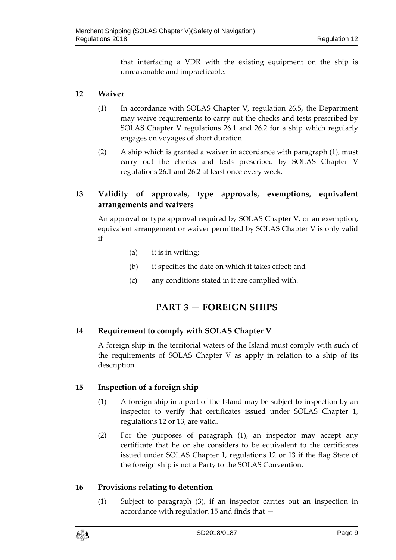that interfacing a VDR with the existing equipment on the ship is unreasonable and impracticable.

### **12 Waiver**

- (1) In accordance with SOLAS Chapter V, regulation 26.5, the Department may waive requirements to carry out the checks and tests prescribed by SOLAS Chapter V regulations 26.1 and 26.2 for a ship which regularly engages on voyages of short duration.
- (2) A ship which is granted a waiver in accordance with paragraph (1), must carry out the checks and tests prescribed by SOLAS Chapter V regulations 26.1 and 26.2 at least once every week.

## **13 Validity of approvals, type approvals, exemptions, equivalent arrangements and waivers**

An approval or type approval required by SOLAS Chapter V, or an exemption, equivalent arrangement or waiver permitted by SOLAS Chapter V is only valid  $if -$ 

- (a) it is in writing;
- (b) it specifies the date on which it takes effect; and
- (c) any conditions stated in it are complied with.

## **PART 3 — FOREIGN SHIPS**

#### **14 Requirement to comply with SOLAS Chapter V**

A foreign ship in the territorial waters of the Island must comply with such of the requirements of SOLAS Chapter V as apply in relation to a ship of its description.

#### **15 Inspection of a foreign ship**

- (1) A foreign ship in a port of the Island may be subject to inspection by an inspector to verify that certificates issued under SOLAS Chapter 1, regulations 12 or 13, are valid.
- (2) For the purposes of paragraph (1), an inspector may accept any certificate that he or she considers to be equivalent to the certificates issued under SOLAS Chapter 1, regulations 12 or 13 if the flag State of the foreign ship is not a Party to the SOLAS Convention.

#### **16 Provisions relating to detention**

(1) Subject to paragraph (3), if an inspector carries out an inspection in accordance with regulation 15 and finds that —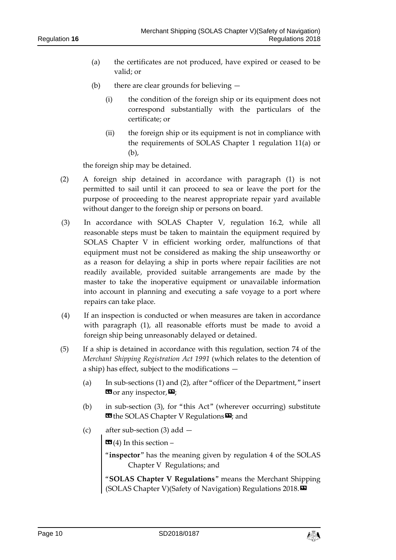- (a) the certificates are not produced, have expired or ceased to be valid; or
- (b) there are clear grounds for believing
	- (i) the condition of the foreign ship or its equipment does not correspond substantially with the particulars of the certificate; or
	- (ii) the foreign ship or its equipment is not in compliance with the requirements of SOLAS Chapter 1 regulation 11(a) or (b),

the foreign ship may be detained.

- (2) A foreign ship detained in accordance with paragraph (1) is not permitted to sail until it can proceed to sea or leave the port for the purpose of proceeding to the nearest appropriate repair yard available without danger to the foreign ship or persons on board.
- (3) In accordance with SOLAS Chapter V, regulation 16.2, while all reasonable steps must be taken to maintain the equipment required by SOLAS Chapter V in efficient working order, malfunctions of that equipment must not be considered as making the ship unseaworthy or as a reason for delaying a ship in ports where repair facilities are not readily available, provided suitable arrangements are made by the master to take the inoperative equipment or unavailable information into account in planning and executing a safe voyage to a port where repairs can take place.
- (4) If an inspection is conducted or when measures are taken in accordance with paragraph (1), all reasonable efforts must be made to avoid a foreign ship being unreasonably delayed or detained.
- (5) If a ship is detained in accordance with this regulation, section 74 of the *Merchant Shipping Registration Act 1991* (which relates to the detention of a ship) has effect, subject to the modifications —
	- (a) In sub-sections (1) and (2), after "officer of the Department," insert  $\mathbf{G}$  or any inspector,  $\mathbf{E}$ ;
	- (b) in sub-section (3), for "this Act" (wherever occurring) substitute **EX** the SOLAS Chapter V Regulations  $\mathbf{E}$ ; and
	- (c) after sub-section (3) add —

 $\mathbf{G}(4)$  In this section –

- "**inspector**" has the meaning given by regulation 4 of the SOLAS Chapter V Regulations; and
- "**SOLAS Chapter V Regulations**" means the Merchant Shipping (SOLAS Chapter V)(Safety of Navigation) Regulations 2018.»

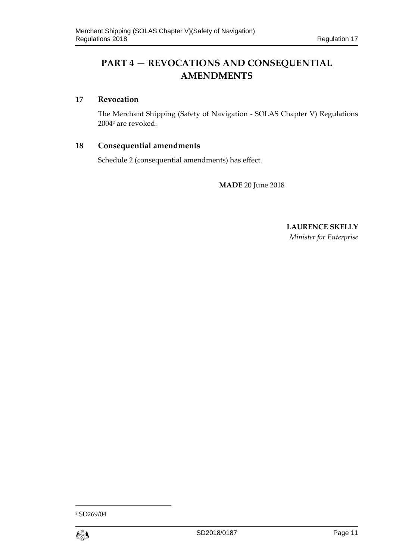# **PART 4 — REVOCATIONS AND CONSEQUENTIAL AMENDMENTS**

## **17 Revocation**

The Merchant Shipping (Safety of Navigation - SOLAS Chapter V) Regulations 20042 are revoked.

## **18 Consequential amendments**

Schedule 2 (consequential amendments) has effect.

**MADE** 20 June 2018

**LAURENCE SKELLY**  *Minister for Enterprise* 

<sup>2</sup> SD269/04

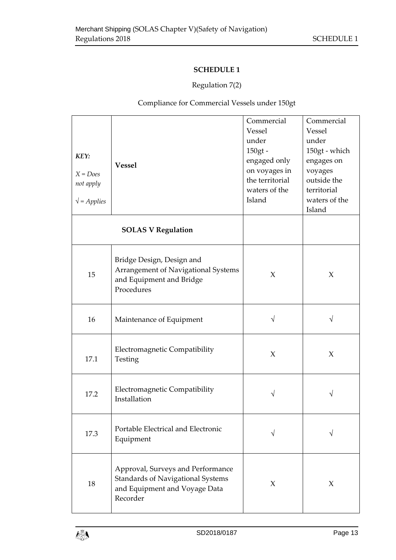## **SCHEDULE 1**

## Regulation 7(2)

Compliance for Commercial Vessels under 150gt

| KEY:<br>$X = Does$<br>not apply<br>$\sqrt{\ }$ = Applies                                                                         | <b>Vessel</b>                                                                                              | Commercial<br>Vessel<br>under<br>$150gt -$<br>engaged only<br>on voyages in<br>the territorial<br>waters of the<br>Island | Commercial<br>Vessel<br>under<br>150gt - which<br>engages on<br>voyages<br>outside the<br>territorial<br>waters of the<br>Island |
|----------------------------------------------------------------------------------------------------------------------------------|------------------------------------------------------------------------------------------------------------|---------------------------------------------------------------------------------------------------------------------------|----------------------------------------------------------------------------------------------------------------------------------|
|                                                                                                                                  | <b>SOLAS V Regulation</b>                                                                                  |                                                                                                                           |                                                                                                                                  |
| 15                                                                                                                               | Bridge Design, Design and<br>Arrangement of Navigational Systems<br>and Equipment and Bridge<br>Procedures | X                                                                                                                         | $\chi$                                                                                                                           |
| 16                                                                                                                               | Maintenance of Equipment                                                                                   | V                                                                                                                         |                                                                                                                                  |
| Electromagnetic Compatibility<br>17.1<br>Testing                                                                                 |                                                                                                            | $\chi$                                                                                                                    | $\chi$                                                                                                                           |
| Electromagnetic Compatibility<br>17.2<br>Installation                                                                            |                                                                                                            |                                                                                                                           |                                                                                                                                  |
| 17.3                                                                                                                             | Portable Electrical and Electronic<br>Equipment                                                            | V                                                                                                                         |                                                                                                                                  |
| Approval, Surveys and Performance<br><b>Standards of Navigational Systems</b><br>18<br>and Equipment and Voyage Data<br>Recorder |                                                                                                            | $\chi$                                                                                                                    | $\chi$                                                                                                                           |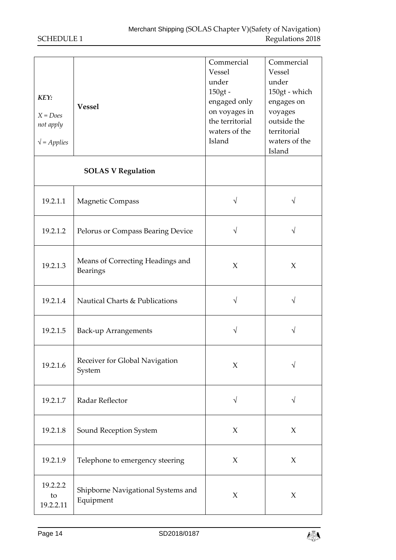| KEY:<br>$X = Does$<br>not apply<br>$\sqrt{\ }$ = Applies | <b>Vessel</b>                                   | Commercial<br>Vessel<br>under<br>150gt -<br>engaged only<br>on voyages in<br>the territorial<br>waters of the<br>Island | Commercial<br>Vessel<br>under<br>150gt - which<br>engages on<br>voyages<br>outside the<br>territorial<br>waters of the<br>Island |
|----------------------------------------------------------|-------------------------------------------------|-------------------------------------------------------------------------------------------------------------------------|----------------------------------------------------------------------------------------------------------------------------------|
|                                                          | <b>SOLAS V Regulation</b>                       |                                                                                                                         |                                                                                                                                  |
| 19.2.1.1                                                 | Magnetic Compass                                | $\sqrt{}$                                                                                                               |                                                                                                                                  |
| 19.2.1.2                                                 | Pelorus or Compass Bearing Device               | $\sqrt{}$                                                                                                               | V                                                                                                                                |
| 19.2.1.3                                                 | Means of Correcting Headings and<br>Bearings    | $\chi$                                                                                                                  | X                                                                                                                                |
| 19.2.1.4                                                 | Nautical Charts & Publications                  | V                                                                                                                       | V                                                                                                                                |
| 19.2.1.5                                                 | <b>Back-up Arrangements</b>                     | V                                                                                                                       | V                                                                                                                                |
| 19.2.1.6                                                 | Receiver for Global Navigation<br>System        | $\chi$                                                                                                                  |                                                                                                                                  |
| 19.2.1.7                                                 | Radar Reflector                                 | $\sqrt{ }$                                                                                                              | $\sqrt{}$                                                                                                                        |
| 19.2.1.8                                                 | Sound Reception System                          | $\chi$                                                                                                                  | $\chi$                                                                                                                           |
| 19.2.1.9                                                 | Telephone to emergency steering                 | $\chi$                                                                                                                  | $\chi$                                                                                                                           |
| 19.2.2.2<br>to<br>19.2.2.11                              | Shipborne Navigational Systems and<br>Equipment | $\chi$                                                                                                                  | X                                                                                                                                |

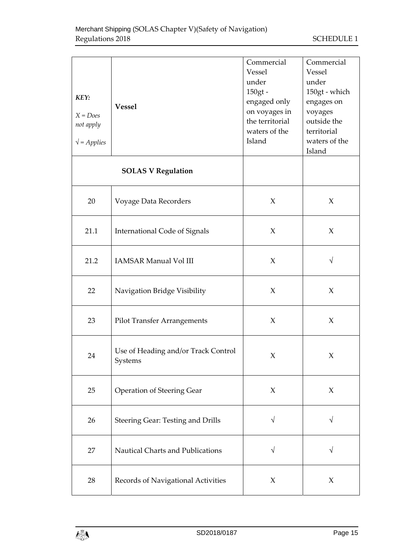| KEY:<br>$X = Does$<br>not apply<br>$\sqrt{\ }$ = Applies | <b>Vessel</b>                                  | Commercial<br>Vessel<br>under<br>150gt -<br>engaged only<br>on voyages in<br>the territorial<br>waters of the<br>Island | Commercial<br>Vessel<br>under<br>150gt - which<br>engages on<br>voyages<br>outside the<br>territorial<br>waters of the<br>Island |
|----------------------------------------------------------|------------------------------------------------|-------------------------------------------------------------------------------------------------------------------------|----------------------------------------------------------------------------------------------------------------------------------|
|                                                          | <b>SOLAS V Regulation</b>                      |                                                                                                                         |                                                                                                                                  |
| 20                                                       | Voyage Data Recorders                          | $\chi$                                                                                                                  | $\chi$                                                                                                                           |
| 21.1                                                     | <b>International Code of Signals</b>           | X                                                                                                                       | $\chi$                                                                                                                           |
| 21.2                                                     | <b>IAMSAR Manual Vol III</b>                   | $\chi$                                                                                                                  | $\sqrt{}$                                                                                                                        |
| 22                                                       | Navigation Bridge Visibility                   |                                                                                                                         | $\chi$                                                                                                                           |
| 23                                                       | <b>Pilot Transfer Arrangements</b>             | $\chi$                                                                                                                  | $\chi$                                                                                                                           |
| 24                                                       | Use of Heading and/or Track Control<br>Systems | X                                                                                                                       | X                                                                                                                                |
| 25                                                       | <b>Operation of Steering Gear</b>              | $\chi$                                                                                                                  | $\boldsymbol{\chi}$                                                                                                              |
| 26                                                       | Steering Gear: Testing and Drills              | $\sqrt{}$                                                                                                               | $\sqrt{}$                                                                                                                        |
| 27                                                       | Nautical Charts and Publications               | $\sqrt{}$                                                                                                               | $\sqrt{}$                                                                                                                        |
| Records of Navigational Activities<br>28                 |                                                | X                                                                                                                       | $\chi$                                                                                                                           |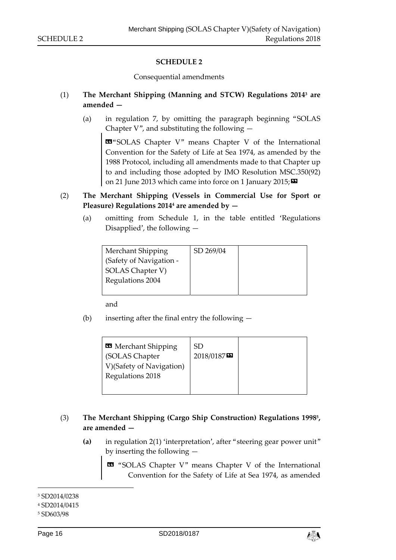#### **SCHEDULE 2**

Consequential amendments

#### (1) **The Merchant Shipping (Manning and STCW) Regulations 20143 are amended —**

(a) in regulation 7, by omitting the paragraph beginning "SOLAS Chapter V", and substituting the following  $-$ 

«"SOLAS Chapter V" means Chapter V of the International Convention for the Safety of Life at Sea 1974, as amended by the 1988 Protocol, including all amendments made to that Chapter up to and including those adopted by IMO Resolution MSC.350(92) on 21 June 2013 which came into force on 1 January 2015;

- (2) **The Merchant Shipping (Vessels in Commercial Use for Sport or Pleasure) Regulations 20144 are amended by —**
	- (a) omitting from Schedule 1, in the table entitled 'Regulations Disapplied', the following —

| Merchant Shipping       | SD 269/04 |  |
|-------------------------|-----------|--|
| (Safety of Navigation - |           |  |
| SOLAS Chapter V)        |           |  |
| Regulations 2004        |           |  |
|                         |           |  |

and

(b) inserting after the final entry the following —

| 2018/0187 |
|-----------|
|-----------|

#### (3) **The Merchant Shipping (Cargo Ship Construction) Regulations 19985, are amended —**

**(a)** in regulation 2(1) 'interpretation', after "steering gear power unit" by inserting the following —

 « "SOLAS Chapter V" means Chapter V of the International Convention for the Safety of Life at Sea 1974, as amended



<sup>3</sup> SD2014/0238

<sup>4</sup> SD2014/0415

<sup>5</sup> SD603/98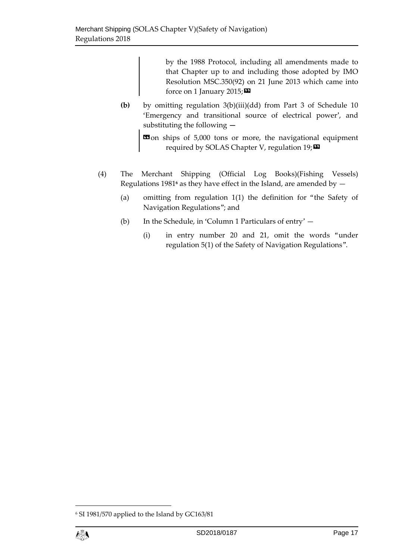by the 1988 Protocol, including all amendments made to that Chapter up to and including those adopted by IMO Resolution MSC.350(92) on 21 June 2013 which came into force on 1 January 2015;  $\blacksquare$ 

**(b)** by omitting regulation 3(b)(iii)(dd) from Part 3 of Schedule 10 'Emergency and transitional source of electrical power', and substituting the following **—** 

 $\text{13}$  on ships of 5,000 tons or more, the navigational equipment required by SOLAS Chapter V, regulation  $19; \blacksquare$ 

- (4) The Merchant Shipping (Official Log Books)(Fishing Vessels) Regulations 1981**6** as they have effect in the Island, are amended by —
	- (a) omitting from regulation 1(1) the definition for "the Safety of Navigation Regulations"; and
	- (b) In the Schedule, in 'Column 1 Particulars of entry'
		- (i) in entry number 20 and 21, omit the words "under regulation 5(1) of the Safety of Navigation Regulations".

<sup>6</sup> SI 1981/570 applied to the Island by GC163/81